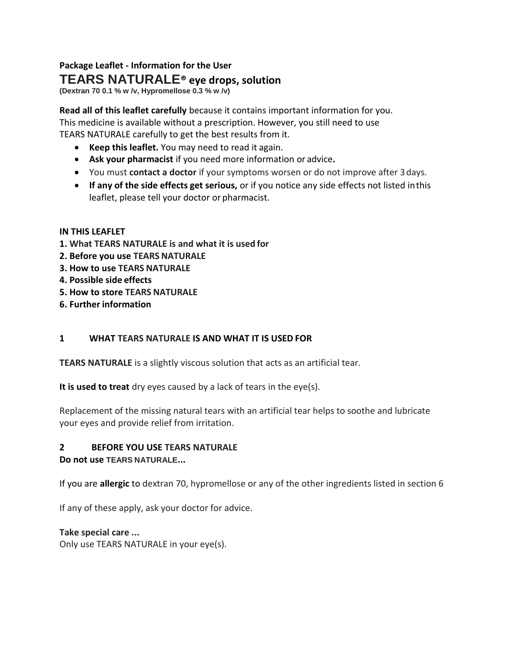# **Package Leaflet - Information for the User**

# **TEARS NATURALE® eye drops, solution**

**(Dextran 70 0.1 % w /v, Hypromellose 0.3 % w /v)**

**Read all of this leaflet carefully** because it contains important information for you. This medicine is available without a prescription. However, you still need to use TEARS NATURALE carefully to get the best results from it.

- **Keep this leaflet.** You may need to read it again.
- **Ask your pharmacist** if you need more information or advice**.**
- You must **contact a doctor** if your symptoms worsen or do not improve after 3days.
- **If any of the side effects get serious,** or if you notice any side effects not listed inthis leaflet, please tell your doctor or pharmacist.

# **IN THIS LEAFLET**

- **1. What TEARS NATURALE is and what it is used for**
- **2. Before you use TEARS NATURALE**
- **3. How to use TEARS NATURALE**
- **4. Possible side effects**
- **5. How to store TEARS NATURALE**
- **6. Further information**

# **1 WHAT TEARS NATURALE IS AND WHAT IT IS USED FOR**

**TEARS NATURALE** is a slightly viscous solution that acts as an artificial tear.

**It is used to treat** dry eyes caused by a lack of tears in the eye(s).

Replacement of the missing natural tears with an artificial tear helps to soothe and lubricate your eyes and provide relief from irritation.

# **2 BEFORE YOU USE TEARS NATURALE**

# **Do not use TEARS NATURALE...**

If you are **allergic** to dextran 70, hypromellose or any of the other ingredients listed in section 6

If any of these apply, ask your doctor for advice.

# **Take special care ...**

Only use TEARS NATURALE in your eye(s).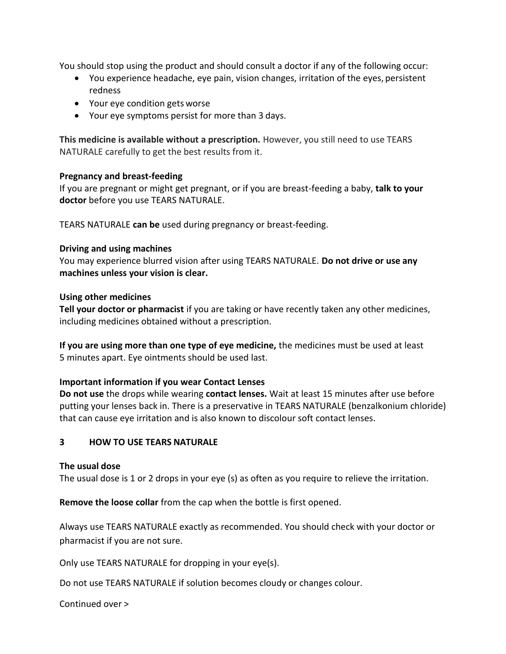You should stop using the product and should consult a doctor if any of the following occur:

- You experience headache, eye pain, vision changes, irritation of the eyes, persistent redness
- Your eye condition gets worse
- Your eye symptoms persist for more than 3 days.

**This medicine is available without a prescription.** However, you still need to use TEARS NATURALE carefully to get the best results from it.

#### **Pregnancy and breast-feeding**

If you are pregnant or might get pregnant, or if you are breast-feeding a baby, **talk to your doctor** before you use TEARS NATURALE.

TEARS NATURALE **can be** used during pregnancy or breast-feeding.

#### **Driving and using machines**

You may experience blurred vision after using TEARS NATURALE. **Do not drive or use any machines unless your vision is clear.**

#### **Using other medicines**

**Tell your doctor or pharmacist** if you are taking or have recently taken any other medicines, including medicines obtained without a prescription.

**If you are using more than one type of eye medicine,** the medicines must be used at least 5 minutes apart. Eye ointments should be used last.

# **Important information if you wear Contact Lenses**

**Do not use** the drops while wearing **contact lenses.** Wait at least 15 minutes after use before putting your lenses back in. There is a preservative in TEARS NATURALE (benzalkonium chloride) that can cause eye irritation and is also known to discolour soft contact lenses.

# **3 HOW TO USE TEARS NATURALE**

#### **The usual dose**

The usual dose is 1 or 2 drops in your eye (s) as often as you require to relieve the irritation.

**Remove the loose collar** from the cap when the bottle is first opened.

Always use TEARS NATURALE exactly as recommended. You should check with your doctor or pharmacist if you are not sure.

Only use TEARS NATURALE for dropping in your eye(s).

Do not use TEARS NATURALE if solution becomes cloudy or changes colour.

Continued over >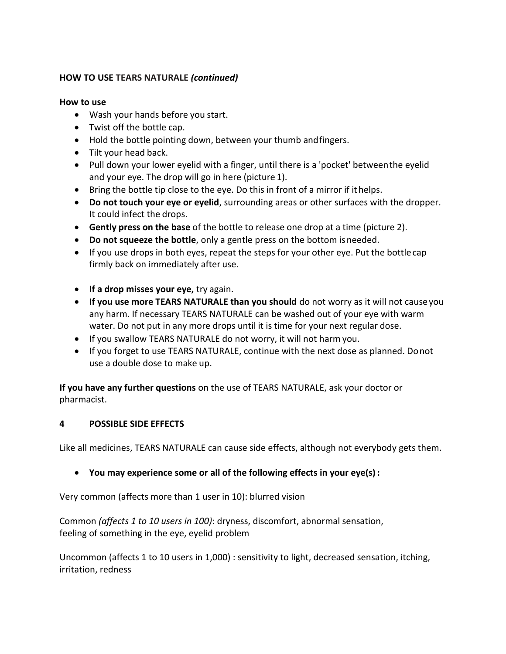#### **HOW TO USE TEARS NATURALE** *(continued)*

#### **How to use**

- Wash your hands before you start.
- Twist off the bottle cap.
- Hold the bottle pointing down, between your thumb and fingers.
- Tilt your head back.
- Pull down your lower eyelid with a finger, until there is a 'pocket' between the eyelid and your eye. The drop will go in here (picture 1).
- Bring the bottle tip close to the eye. Do this in front of a mirror if ithelps.
- **Do not touch your eye or eyelid**, surrounding areas or other surfaces with the dropper. It could infect the drops.
- **Gently press on the base** of the bottle to release one drop at a time (picture 2).
- **Do not squeeze the bottle**, only a gentle press on the bottom isneeded.
- If you use drops in both eyes, repeat the steps for your other eye. Put the bottle cap firmly back on immediately after use.
- **If a drop misses your eye,** try again.
- **If you use more TEARS NATURALE than you should** do not worry as it will not causeyou any harm. If necessary TEARS NATURALE can be washed out of your eye with warm water. Do not put in any more drops until it is time for your next regular dose.
- If you swallow TEARS NATURALE do not worry, it will not harm you.
- If you forget to use TEARS NATURALE, continue with the next dose as planned. Donot use a double dose to make up.

**If you have any further questions** on the use of TEARS NATURALE, ask your doctor or pharmacist.

# **4 POSSIBLE SIDE EFFECTS**

Like all medicines, TEARS NATURALE can cause side effects, although not everybody gets them.

**You may experience some or all of the following effects in your eye(s) :**

Very common (affects more than 1 user in 10): blurred vision

Common *(affects 1 to 10 users in 100)*: dryness, discomfort, abnormal sensation, feeling of something in the eye, eyelid problem

Uncommon (affects 1 to 10 users in 1,000) : sensitivity to light, decreased sensation, itching, irritation, redness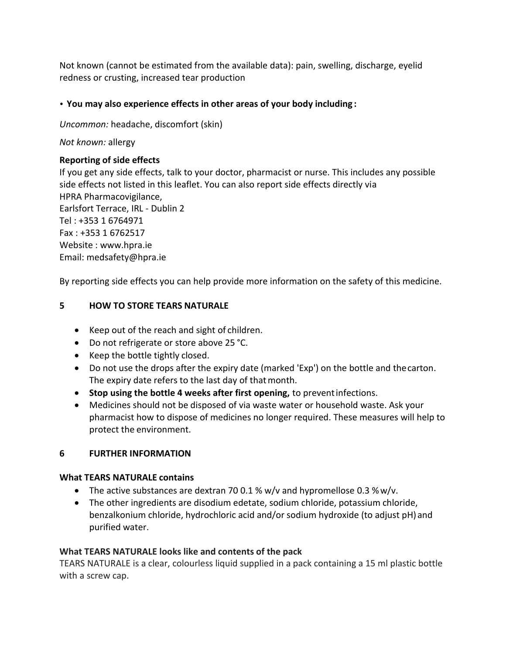Not known (cannot be estimated from the available data): pain, swelling, discharge, eyelid redness or crusting, increased tear production

# **• You may also experience effects in other areas of your body including :**

*Uncommon:* headache, discomfort (skin)

*Not known:* allergy

# **Reporting of side effects**

If you get any side effects, talk to your doctor, pharmacist or nurse. This includes any possible side effects not listed in this leaflet. You can also report side effects directly via HPRA Pharmacovigilance, Earlsfort Terrace, IRL - Dublin 2 Tel : +353 1 6764971 Fax : +353 1 6762517 Website : [www.hpra.ie](http://www.hpra.ie/) Email: [medsafety@hpra.ie](mailto:medsafety@hpra.ie)

By reporting side effects you can help provide more information on the safety of this medicine.

# **5 HOW TO STORE TEARS NATURALE**

- Keep out of the reach and sight of children.
- Do not refrigerate or store above 25 °C.
- Keep the bottle tightly closed.
- Do not use the drops after the expiry date (marked 'Exp') on the bottle and thecarton. The expiry date refers to the last day of that month.
- **Stop using the bottle 4 weeks after first opening,** to preventinfections.
- Medicines should not be disposed of via waste water or household waste. Ask your pharmacist how to dispose of medicines no longer required. These measures will help to protect the environment.

# **6 FURTHER INFORMATION**

# **What TEARS NATURALE contains**

- The active substances are dextran 70 0.1 %  $w/v$  and hypromellose 0.3 %  $w/v$ .
- The other ingredients are disodium edetate, sodium chloride, potassium chloride, benzalkonium chloride, hydrochloric acid and/or sodium hydroxide (to adjust pH) and purified water.

# **What TEARS NATURALE looks like and contents of the pack**

TEARS NATURALE is a clear, colourless liquid supplied in a pack containing a 15 ml plastic bottle with a screw cap.